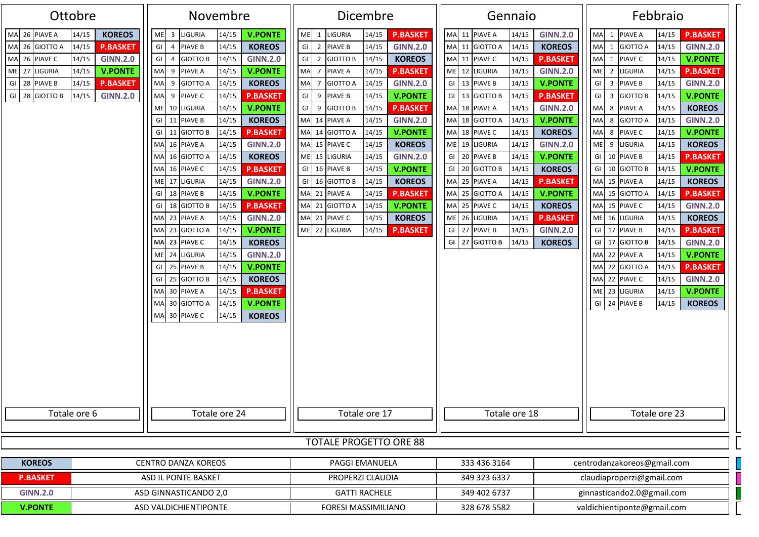| Ottobre<br>Novembre                                                                                                                                                                                                                                                                              |                                                                                                                                                                                                                                                                                                                                                                                                                                                                                                                                                                                                                                                                                                                                                                                                                                                                                                                                                                                                                                                                                                                                                                                       | Dicembre                                                                                                                                                                                                                                                                                                                                                                                                                                                                                                                                                                                                                                                                                                                                                                                               | Gennaio                                                                                                                                                                                                                                                                                                                                                                                                                                                                                                                                                                                                                                                                                                                                                                                                                        | Febbraio                                                                                                                                                                                                                                                                                                                                                                                                                                                                                                                                                                                                                                                                                                                                                                                                                                                                                                                                                                                                                                             |  |  |  |  |
|--------------------------------------------------------------------------------------------------------------------------------------------------------------------------------------------------------------------------------------------------------------------------------------------------|---------------------------------------------------------------------------------------------------------------------------------------------------------------------------------------------------------------------------------------------------------------------------------------------------------------------------------------------------------------------------------------------------------------------------------------------------------------------------------------------------------------------------------------------------------------------------------------------------------------------------------------------------------------------------------------------------------------------------------------------------------------------------------------------------------------------------------------------------------------------------------------------------------------------------------------------------------------------------------------------------------------------------------------------------------------------------------------------------------------------------------------------------------------------------------------|--------------------------------------------------------------------------------------------------------------------------------------------------------------------------------------------------------------------------------------------------------------------------------------------------------------------------------------------------------------------------------------------------------------------------------------------------------------------------------------------------------------------------------------------------------------------------------------------------------------------------------------------------------------------------------------------------------------------------------------------------------------------------------------------------------|--------------------------------------------------------------------------------------------------------------------------------------------------------------------------------------------------------------------------------------------------------------------------------------------------------------------------------------------------------------------------------------------------------------------------------------------------------------------------------------------------------------------------------------------------------------------------------------------------------------------------------------------------------------------------------------------------------------------------------------------------------------------------------------------------------------------------------|------------------------------------------------------------------------------------------------------------------------------------------------------------------------------------------------------------------------------------------------------------------------------------------------------------------------------------------------------------------------------------------------------------------------------------------------------------------------------------------------------------------------------------------------------------------------------------------------------------------------------------------------------------------------------------------------------------------------------------------------------------------------------------------------------------------------------------------------------------------------------------------------------------------------------------------------------------------------------------------------------------------------------------------------------|--|--|--|--|
| <b>KOREOS</b><br>26 PIAVE A<br>14/15<br>MA<br>26 GIOTTO A<br>14/15<br><b>P.BASKET</b><br><b>MA</b><br>26 PIAVE C<br><b>GINN.2.0</b><br>14/15<br><b>MA</b><br>ME 27 LIGURIA<br>14/15<br><b>V.PONTE</b><br>GI 28 PIAVE B<br>14/15<br><b>P.BASKET</b><br>GI 28 GIOTTO B<br>14/15<br><b>GINN.2.0</b> | <b>V.PONTE</b><br><b>ME</b><br>3 LIGURIA<br>14/15<br>GI<br><b>KOREOS</b><br>4 PIAVE B<br>14/15<br><b>GINN.2.0</b><br>GI<br>4 GIOTTO B<br>14/15<br>MA<br>9 PIAVE A<br>14/15<br><b>V.PONTE</b><br><b>MA</b><br>9 GIOTTO A<br>14/15<br><b>KOREOS</b><br>MA<br>9 PIAVE C<br>14/15<br><b>P.BASKET</b><br><b>V.PONTE</b><br>ME 10 LIGURIA<br>14/15<br>GI  <br>11 PIAVE B<br>14/15<br><b>KOREOS</b><br>GI<br>11 GIOTTO B<br>14/15<br><b>P.BASKET</b><br>MA 16 PIAVE A<br>14/15<br><b>GINN.2.0</b><br><b>KOREOS</b><br>MA 16 GIOTTO A<br>14/15<br><b>MA</b><br><b>P.BASKET</b><br>16 PIAVE C<br>14/15<br>17 LIGURIA<br><b>ME</b><br><b>GINN.2.0</b><br>14/15<br>GI 18 PIAVE B<br><b>V.PONTE</b><br>14/15<br>GI  <br>18 GIOTTO B<br>14/15<br><b>P.BASKET</b><br>MA 23 PIAVE A<br>14/15<br><b>GINN.2.0</b><br>MA<br>23 GIOTTO A<br><b>V.PONTE</b><br>14/15<br>MA 23 PIAVE C<br><b>KOREOS</b><br>14/15<br><b>ME</b><br>24 LIGURIA<br><b>GINN.2.0</b><br>14/15<br>GI<br>25 PIAVE B<br>14/15<br><b>V.PONTE</b><br>GI<br>25 GIOTTO B<br>14/15<br><b>KOREOS</b><br>MA 30 PIAVE A<br>14/15<br><b>P.BASKET</b><br>MA 30 GIOTTO A<br>14/15<br><b>V.PONTE</b><br>MA 30 PIAVE C<br>14/15<br><b>KOREOS</b> | LIGURIA<br><b>P.BASKET</b><br><b>ME</b><br>14/15<br>1<br>GI 2 PIAVE B<br>14/15<br><b>GINN.2.0</b><br>GI 2 GIOTTO B<br>14/15<br><b>KOREOS</b><br><b>MA</b><br>PIAVE A<br>14/15<br><b>P.BASKET</b><br>7<br>MA 7 GIOTTO A<br>14/15<br><b>GINN.2.0</b><br>GI 9 PIAVE B<br><b>V.PONTE</b><br>14/15<br>GI 9 GIOTTO B<br>14/15<br><b>P.BASKET</b><br>MA 14 PIAVE A<br>14/15<br><b>GINN.2.0</b><br>MA 14 GIOTTO A<br>14/15<br><b>V.PONTE</b><br>MA 15 PIAVE C<br>14/15<br><b>KOREOS</b><br>ME 15 LIGURIA<br>14/15<br><b>GINN.2.0</b><br>GI 16 PIAVE B<br>14/15<br><b>V.PONTE</b><br>GI 16 GIOTTO B<br>14/15<br><b>KOREOS</b><br>MA 21 PIAVE A<br>14/15<br><b>P.BASKET</b><br>MA 21 GIOTTO A<br>14/15<br><b>V.PONTE</b><br>MA 21 PIAVE C<br>14/15<br><b>KOREOS</b><br>ME 22 LIGURIA<br>14/15<br><b>P.BASKET</b> | MA 11 PIAVE A<br><b>GINN.2.0</b><br>14/15<br>MA 11 GIOTTO A<br><b>KOREOS</b><br>14/15<br>MA 11 PIAVE C<br>14/15<br><b>P.BASKET</b><br>ME 12 LIGURIA<br><b>GINN.2.0</b><br>14/15<br>GI 13 PIAVE B<br><b>V.PONTE</b><br>14/15<br>GI 13 GIOTTO B<br>14/15<br><b>P.BASKET</b><br>MA 18 PIAVE A<br><b>GINN.2.0</b><br>14/15<br><b>V.PONTE</b><br>MA 18 GIOTTO A<br>14/15<br>MA 18 PIAVE C<br>14/15<br><b>KOREOS</b><br>ME 19 LIGURIA<br><b>GINN.2.0</b><br>14/15<br>GI 20 PIAVE B<br><b>V.PONTE</b><br>14/15<br>GI 20 GIOTTO B<br><b>KOREOS</b><br>14/15<br>MA 25 PIAVE A<br>14/15<br><b>P.BASKET</b><br>MA 25 GIOTTO A<br><b>V.PONTE</b><br>14/15<br>MA 25 PIAVE C<br>14/15<br><b>KOREOS</b><br>ME 26 LIGURIA<br>14/15<br><b>P.BASKET</b><br>GI 27 PIAVE B<br><b>GINN.2.0</b><br>14/15<br>GI 27 GIOTTO B<br><b>KOREOS</b><br>14/15 | <b>P.BASKET</b><br>MA 1 PIAVE A<br>14/15<br>14/15<br><b>GINN.2.0</b><br>MA 1 GIOTTO A<br><b>V.PONTE</b><br>MA 1 PIAVE C<br>14/15<br>ME 2 LIGURIA<br>14/15<br><b>P.BASKET</b><br>GI 3 PIAVE B<br>14/15<br><b>GINN.2.0</b><br>GI 3 GIOTTO B<br>14/15<br><b>V.PONTE</b><br>MA 8 PIAVE A<br><b>KOREOS</b><br>14/15<br>MA 8 GIOTTO A<br>14/15<br><b>GINN.2.0</b><br>MA 8 PIAVE C<br>14/15<br><b>V.PONTE</b><br>ME 9 LIGURIA<br>14/15<br><b>KOREOS</b><br>GI 10 PIAVE B<br>14/15<br><b>P.BASKET</b><br>14/15<br><b>V.PONTE</b><br>GI 10 GIOTTO B<br>MA 15 PIAVE A<br>14/15<br><b>KOREOS</b><br>MA 15 GIOTTO A<br>14/15<br><b>P.BASKET</b><br>MA 15 PIAVE C<br>14/15<br><b>GINN.2.0</b><br>ME 16 LIGURIA<br>14/15<br><b>KOREOS</b><br>GI 17 PIAVE B<br>14/15<br><b>P.BASKET</b><br>GI 17 GIOTTO B<br>14/15<br><b>GINN.2.0</b><br>MA 22 PIAVE A<br>14/15<br><b>V.PONTE</b><br>MA 22 GIOTTO A<br>14/15<br><b>P.BASKET</b><br>MA 22 PIAVE C<br>14/15<br><b>GINN.2.0</b><br>ME 23 LIGURIA<br>14/15<br><b>V.PONTE</b><br>GI 24 PIAVE B<br>14/15<br><b>KOREOS</b> |  |  |  |  |
| Totale ore 6                                                                                                                                                                                                                                                                                     | Totale ore 24                                                                                                                                                                                                                                                                                                                                                                                                                                                                                                                                                                                                                                                                                                                                                                                                                                                                                                                                                                                                                                                                                                                                                                         | Totale ore 17                                                                                                                                                                                                                                                                                                                                                                                                                                                                                                                                                                                                                                                                                                                                                                                          | Totale ore 18                                                                                                                                                                                                                                                                                                                                                                                                                                                                                                                                                                                                                                                                                                                                                                                                                  | Totale ore 23                                                                                                                                                                                                                                                                                                                                                                                                                                                                                                                                                                                                                                                                                                                                                                                                                                                                                                                                                                                                                                        |  |  |  |  |
| <b>TOTALE PROGETTO ORE 88</b>                                                                                                                                                                                                                                                                    |                                                                                                                                                                                                                                                                                                                                                                                                                                                                                                                                                                                                                                                                                                                                                                                                                                                                                                                                                                                                                                                                                                                                                                                       |                                                                                                                                                                                                                                                                                                                                                                                                                                                                                                                                                                                                                                                                                                                                                                                                        |                                                                                                                                                                                                                                                                                                                                                                                                                                                                                                                                                                                                                                                                                                                                                                                                                                |                                                                                                                                                                                                                                                                                                                                                                                                                                                                                                                                                                                                                                                                                                                                                                                                                                                                                                                                                                                                                                                      |  |  |  |  |
| <b>CENTRO DANZA KOREOS</b><br><b>KOREOS</b>                                                                                                                                                                                                                                                      |                                                                                                                                                                                                                                                                                                                                                                                                                                                                                                                                                                                                                                                                                                                                                                                                                                                                                                                                                                                                                                                                                                                                                                                       | <b>PAGGI EMANUELA</b><br>PROPERZI CLAUDIA                                                                                                                                                                                                                                                                                                                                                                                                                                                                                                                                                                                                                                                                                                                                                              | 333 436 3164                                                                                                                                                                                                                                                                                                                                                                                                                                                                                                                                                                                                                                                                                                                                                                                                                   | centrodanzakoreos@gmail.com                                                                                                                                                                                                                                                                                                                                                                                                                                                                                                                                                                                                                                                                                                                                                                                                                                                                                                                                                                                                                          |  |  |  |  |
| <b>P.BASKET</b>                                                                                                                                                                                                                                                                                  | ASD IL PONTE BASKET                                                                                                                                                                                                                                                                                                                                                                                                                                                                                                                                                                                                                                                                                                                                                                                                                                                                                                                                                                                                                                                                                                                                                                   |                                                                                                                                                                                                                                                                                                                                                                                                                                                                                                                                                                                                                                                                                                                                                                                                        | 349 323 6337                                                                                                                                                                                                                                                                                                                                                                                                                                                                                                                                                                                                                                                                                                                                                                                                                   | claudiaproperzi@gmail.com                                                                                                                                                                                                                                                                                                                                                                                                                                                                                                                                                                                                                                                                                                                                                                                                                                                                                                                                                                                                                            |  |  |  |  |
| <b>GINN.2.0</b>                                                                                                                                                                                                                                                                                  | ASD GINNASTICANDO 2,0                                                                                                                                                                                                                                                                                                                                                                                                                                                                                                                                                                                                                                                                                                                                                                                                                                                                                                                                                                                                                                                                                                                                                                 |                                                                                                                                                                                                                                                                                                                                                                                                                                                                                                                                                                                                                                                                                                                                                                                                        | 349 402 6737<br>ginnasticando2.0@gmail.com                                                                                                                                                                                                                                                                                                                                                                                                                                                                                                                                                                                                                                                                                                                                                                                     |                                                                                                                                                                                                                                                                                                                                                                                                                                                                                                                                                                                                                                                                                                                                                                                                                                                                                                                                                                                                                                                      |  |  |  |  |
| <b>V.PONTE</b>                                                                                                                                                                                                                                                                                   | ASD VALDICHIENTIPONTE                                                                                                                                                                                                                                                                                                                                                                                                                                                                                                                                                                                                                                                                                                                                                                                                                                                                                                                                                                                                                                                                                                                                                                 | FORESI MASSIMILIANO                                                                                                                                                                                                                                                                                                                                                                                                                                                                                                                                                                                                                                                                                                                                                                                    | 328 678 5582                                                                                                                                                                                                                                                                                                                                                                                                                                                                                                                                                                                                                                                                                                                                                                                                                   | valdichientiponte@gmail.com                                                                                                                                                                                                                                                                                                                                                                                                                                                                                                                                                                                                                                                                                                                                                                                                                                                                                                                                                                                                                          |  |  |  |  |